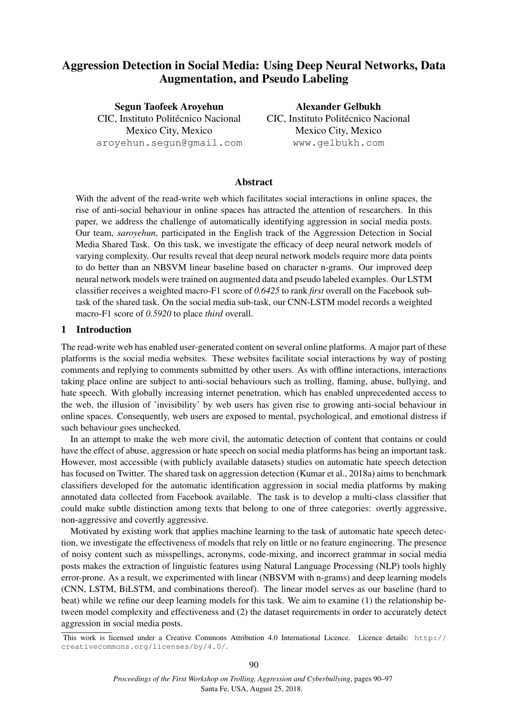# Aggression Detection in Social Media: Using Deep Neural Networks, Data Augmentation, and Pseudo Labeling

Segun Taofeek Aroyehun CIC, Instituto Politécnico Nacional Mexico City, Mexico aroyehun.segun@gmail.com

Alexander Gelbukh CIC, Instituto Politécnico Nacional Mexico City, Mexico www.gelbukh.com

# Abstract

With the advent of the read-write web which facilitates social interactions in online spaces, the rise of anti-social behaviour in online spaces has attracted the attention of researchers. In this paper, we address the challenge of automatically identifying aggression in social media posts. Our team, *saroyehun*, participated in the English track of the Aggression Detection in Social Media Shared Task. On this task, we investigate the efficacy of deep neural network models of varying complexity. Our results reveal that deep neural network models require more data points to do better than an NBSVM linear baseline based on character n-grams. Our improved deep neural network models were trained on augmented data and pseudo labeled examples. Our LSTM classifier receives a weighted macro-F1 score of *0.6425* to rank *first* overall on the Facebook subtask of the shared task. On the social media sub-task, our CNN-LSTM model records a weighted macro-F1 score of *0.5920* to place *third* overall.

## 1 Introduction

The read-write web has enabled user-generated content on several online platforms. A major part of these platforms is the social media websites. These websites facilitate social interactions by way of posting comments and replying to comments submitted by other users. As with offline interactions, interactions taking place online are subject to anti-social behaviours such as trolling, flaming, abuse, bullying, and hate speech. With globally increasing internet penetration, which has enabled unprecedented access to the web, the illusion of 'invisibility' by web users has given rise to growing anti-social behaviour in online spaces. Consequently, web users are exposed to mental, psychological, and emotional distress if such behaviour goes unchecked.

In an attempt to make the web more civil, the automatic detection of content that contains or could have the effect of abuse, aggression or hate speech on social media platforms has being an important task. However, most accessible (with publicly available datasets) studies on automatic hate speech detection has focused on Twitter. The shared task on aggression detection (Kumar et al., 2018a) aims to benchmark classifiers developed for the automatic identification aggression in social media platforms by making annotated data collected from Facebook available. The task is to develop a multi-class classifier that could make subtle distinction among texts that belong to one of three categories: overtly aggressive, non-aggressive and covertly aggressive.

Motivated by existing work that applies machine learning to the task of automatic hate speech detection, we investigate the effectiveness of models that rely on little or no feature engineering. The presence of noisy content such as misspellings, acronyms, code-mixing, and incorrect grammar in social media posts makes the extraction of linguistic features using Natural Language Processing (NLP) tools highly error-prone. As a result, we experimented with linear (NBSVM with n-grams) and deep learning models (CNN, LSTM, BiLSTM, and combinations thereof). The linear model serves as our baseline (hard to beat) while we refine our deep learning models for this task. We aim to examine (1) the relationship between model complexity and effectiveness and (2) the dataset requirements in order to accurately detect aggression in social media posts.

This work is licensed under a Creative Commons Attribution 4.0 International Licence. Licence details: http:// creativecommons.org/licenses/by/4.0/.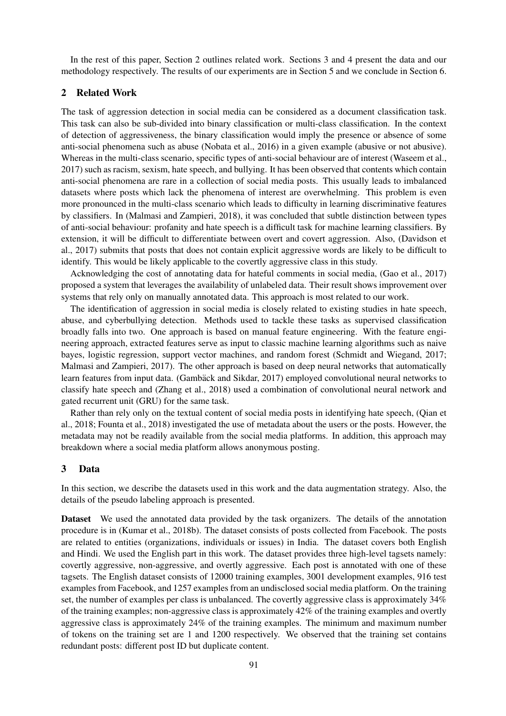In the rest of this paper, Section 2 outlines related work. Sections 3 and 4 present the data and our methodology respectively. The results of our experiments are in Section 5 and we conclude in Section 6.

### 2 Related Work

The task of aggression detection in social media can be considered as a document classification task. This task can also be sub-divided into binary classification or multi-class classification. In the context of detection of aggressiveness, the binary classification would imply the presence or absence of some anti-social phenomena such as abuse (Nobata et al., 2016) in a given example (abusive or not abusive). Whereas in the multi-class scenario, specific types of anti-social behaviour are of interest (Waseem et al., 2017) such as racism, sexism, hate speech, and bullying. It has been observed that contents which contain anti-social phenomena are rare in a collection of social media posts. This usually leads to imbalanced datasets where posts which lack the phenomena of interest are overwhelming. This problem is even more pronounced in the multi-class scenario which leads to difficulty in learning discriminative features by classifiers. In (Malmasi and Zampieri, 2018), it was concluded that subtle distinction between types of anti-social behaviour: profanity and hate speech is a difficult task for machine learning classifiers. By extension, it will be difficult to differentiate between overt and covert aggression. Also, (Davidson et al., 2017) submits that posts that does not contain explicit aggressive words are likely to be difficult to identify. This would be likely applicable to the covertly aggressive class in this study.

Acknowledging the cost of annotating data for hateful comments in social media, (Gao et al., 2017) proposed a system that leverages the availability of unlabeled data. Their result shows improvement over systems that rely only on manually annotated data. This approach is most related to our work.

The identification of aggression in social media is closely related to existing studies in hate speech, abuse, and cyberbullying detection. Methods used to tackle these tasks as supervised classification broadly falls into two. One approach is based on manual feature engineering. With the feature engineering approach, extracted features serve as input to classic machine learning algorithms such as naive bayes, logistic regression, support vector machines, and random forest (Schmidt and Wiegand, 2017; Malmasi and Zampieri, 2017). The other approach is based on deep neural networks that automatically learn features from input data. (Gambäck and Sikdar, 2017) employed convolutional neural networks to classify hate speech and (Zhang et al., 2018) used a combination of convolutional neural network and gated recurrent unit (GRU) for the same task.

Rather than rely only on the textual content of social media posts in identifying hate speech, (Qian et al., 2018; Founta et al., 2018) investigated the use of metadata about the users or the posts. However, the metadata may not be readily available from the social media platforms. In addition, this approach may breakdown where a social media platform allows anonymous posting.

### 3 Data

In this section, we describe the datasets used in this work and the data augmentation strategy. Also, the details of the pseudo labeling approach is presented.

Dataset We used the annotated data provided by the task organizers. The details of the annotation procedure is in (Kumar et al., 2018b). The dataset consists of posts collected from Facebook. The posts are related to entities (organizations, individuals or issues) in India. The dataset covers both English and Hindi. We used the English part in this work. The dataset provides three high-level tagsets namely: covertly aggressive, non-aggressive, and overtly aggressive. Each post is annotated with one of these tagsets. The English dataset consists of 12000 training examples, 3001 development examples, 916 test examples from Facebook, and 1257 examples from an undisclosed social media platform. On the training set, the number of examples per class is unbalanced. The covertly aggressive class is approximately 34% of the training examples; non-aggressive class is approximately 42% of the training examples and overtly aggressive class is approximately 24% of the training examples. The minimum and maximum number of tokens on the training set are 1 and 1200 respectively. We observed that the training set contains redundant posts: different post ID but duplicate content.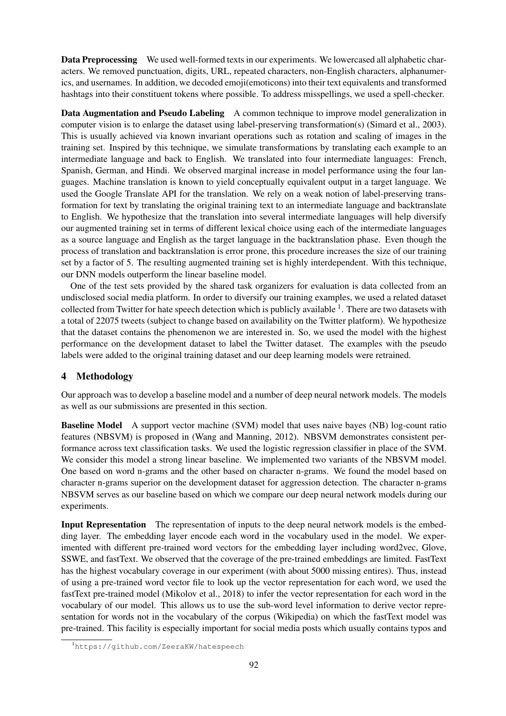Data Preprocessing We used well-formed texts in our experiments. We lowercased all alphabetic characters. We removed punctuation, digits, URL, repeated characters, non-English characters, alphanumerics, and usernames. In addition, we decoded emoji(emoticons) into their text equivalents and transformed hashtags into their constituent tokens where possible. To address misspellings, we used a spell-checker.

Data Augmentation and Pseudo Labeling A common technique to improve model generalization in computer vision is to enlarge the dataset using label-preserving transformation(s) (Simard et al., 2003). This is usually achieved via known invariant operations such as rotation and scaling of images in the training set. Inspired by this technique, we simulate transformations by translating each example to an intermediate language and back to English. We translated into four intermediate languages: French, Spanish, German, and Hindi. We observed marginal increase in model performance using the four languages. Machine translation is known to yield conceptually equivalent output in a target language. We used the Google Translate API for the translation. We rely on a weak notion of label-preserving transformation for text by translating the original training text to an intermediate language and backtranslate to English. We hypothesize that the translation into several intermediate languages will help diversify our augmented training set in terms of different lexical choice using each of the intermediate languages as a source language and English as the target language in the backtranslation phase. Even though the process of translation and backtranslation is error prone, this procedure increases the size of our training set by a factor of 5. The resulting augmented training set is highly interdependent. With this technique, our DNN models outperform the linear baseline model.

One of the test sets provided by the shared task organizers for evaluation is data collected from an undisclosed social media platform. In order to diversify our training examples, we used a related dataset collected from Twitter for hate speech detection which is publicly available <sup>1</sup>. There are two datasets with a total of 22075 tweets (subject to change based on availability on the Twitter platform). We hypothesize that the dataset contains the phenomenon we are interested in. So, we used the model with the highest performance on the development dataset to label the Twitter dataset. The examples with the pseudo labels were added to the original training dataset and our deep learning models were retrained.

# 4 Methodology

Our approach was to develop a baseline model and a number of deep neural network models. The models as well as our submissions are presented in this section.

Baseline Model A support vector machine (SVM) model that uses naive bayes (NB) log-count ratio features (NBSVM) is proposed in (Wang and Manning, 2012). NBSVM demonstrates consistent performance across text classification tasks. We used the logistic regression classifier in place of the SVM. We consider this model a strong linear baseline. We implemented two variants of the NBSVM model. One based on word n-grams and the other based on character n-grams. We found the model based on character n-grams superior on the development dataset for aggression detection. The character n-grams NBSVM serves as our baseline based on which we compare our deep neural network models during our experiments.

Input Representation The representation of inputs to the deep neural network models is the embedding layer. The embedding layer encode each word in the vocabulary used in the model. We experimented with different pre-trained word vectors for the embedding layer including word2vec, Glove, SSWE, and fastText. We observed that the coverage of the pre-trained embeddings are limited. FastText has the highest vocabulary coverage in our experiment (with about 5000 missing entires). Thus, instead of using a pre-trained word vector file to look up the vector representation for each word, we used the fastText pre-trained model (Mikolov et al., 2018) to infer the vector representation for each word in the vocabulary of our model. This allows us to use the sub-word level information to derive vector representation for words not in the vocabulary of the corpus (Wikipedia) on which the fastText model was pre-trained. This facility is especially important for social media posts which usually contains typos and

<sup>1</sup>https://github.com/ZeeraKW/hatespeech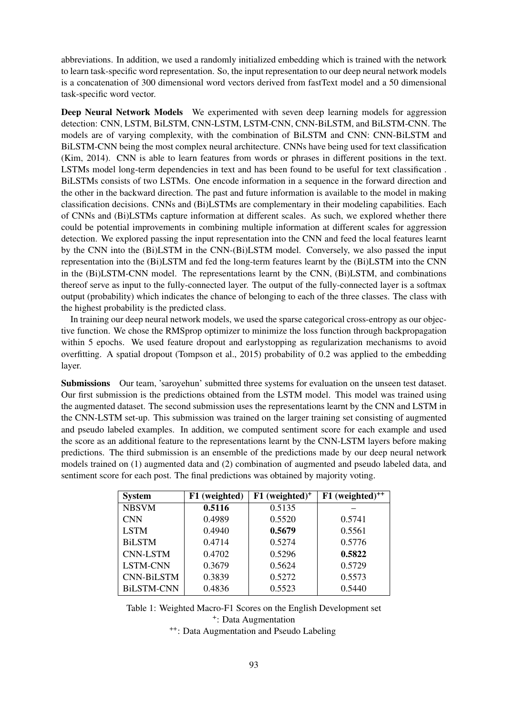abbreviations. In addition, we used a randomly initialized embedding which is trained with the network to learn task-specific word representation. So, the input representation to our deep neural network models is a concatenation of 300 dimensional word vectors derived from fastText model and a 50 dimensional task-specific word vector.

Deep Neural Network Models We experimented with seven deep learning models for aggression detection: CNN, LSTM, BiLSTM, CNN-LSTM, LSTM-CNN, CNN-BiLSTM, and BiLSTM-CNN. The models are of varying complexity, with the combination of BiLSTM and CNN: CNN-BiLSTM and BiLSTM-CNN being the most complex neural architecture. CNNs have being used for text classification (Kim, 2014). CNN is able to learn features from words or phrases in different positions in the text. LSTMs model long-term dependencies in text and has been found to be useful for text classification . BiLSTMs consists of two LSTMs. One encode information in a sequence in the forward direction and the other in the backward direction. The past and future information is available to the model in making classification decisions. CNNs and (Bi)LSTMs are complementary in their modeling capabilities. Each of CNNs and (Bi)LSTMs capture information at different scales. As such, we explored whether there could be potential improvements in combining multiple information at different scales for aggression detection. We explored passing the input representation into the CNN and feed the local features learnt by the CNN into the (Bi)LSTM in the CNN-(Bi)LSTM model. Conversely, we also passed the input representation into the (Bi)LSTM and fed the long-term features learnt by the (Bi)LSTM into the CNN in the (Bi)LSTM-CNN model. The representations learnt by the CNN, (Bi)LSTM, and combinations thereof serve as input to the fully-connected layer. The output of the fully-connected layer is a softmax output (probability) which indicates the chance of belonging to each of the three classes. The class with the highest probability is the predicted class.

In training our deep neural network models, we used the sparse categorical cross-entropy as our objective function. We chose the RMSprop optimizer to minimize the loss function through backpropagation within 5 epochs. We used feature dropout and earlystopping as regularization mechanisms to avoid overfitting. A spatial dropout (Tompson et al., 2015) probability of 0.2 was applied to the embedding layer.

Submissions Our team, 'saroyehun' submitted three systems for evaluation on the unseen test dataset. Our first submission is the predictions obtained from the LSTM model. This model was trained using the augmented dataset. The second submission uses the representations learnt by the CNN and LSTM in the CNN-LSTM set-up. This submission was trained on the larger training set consisting of augmented and pseudo labeled examples. In addition, we computed sentiment score for each example and used the score as an additional feature to the representations learnt by the CNN-LSTM layers before making predictions. The third submission is an ensemble of the predictions made by our deep neural network models trained on (1) augmented data and (2) combination of augmented and pseudo labeled data, and sentiment score for each post. The final predictions was obtained by majority voting.

| <b>System</b>     | F1 (weighted) | $F1$ (weighted) <sup>+</sup> | $F1$ (weighted) <sup>++</sup> |
|-------------------|---------------|------------------------------|-------------------------------|
| <b>NBSVM</b>      | 0.5116        | 0.5135                       |                               |
| <b>CNN</b>        | 0.4989        | 0.5520                       | 0.5741                        |
| <b>LSTM</b>       | 0.4940        | 0.5679                       | 0.5561                        |
| <b>BiLSTM</b>     | 0.4714        | 0.5274                       | 0.5776                        |
| <b>CNN-LSTM</b>   | 0.4702        | 0.5296                       | 0.5822                        |
| <b>LSTM-CNN</b>   | 0.3679        | 0.5624                       | 0.5729                        |
| <b>CNN-BiLSTM</b> | 0.3839        | 0.5272                       | 0.5573                        |
| <b>BiLSTM-CNN</b> | 0.4836        | 0.5523                       | 0.5440                        |

Table 1: Weighted Macro-F1 Scores on the English Development set + : Data Augmentation

++: Data Augmentation and Pseudo Labeling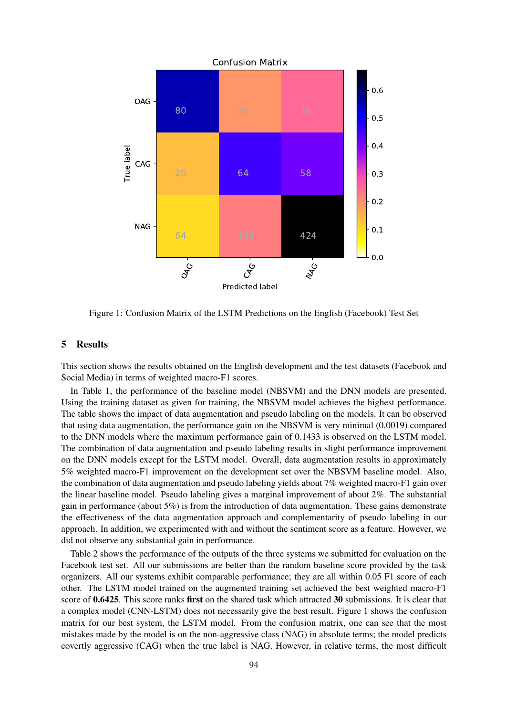

Figure 1: Confusion Matrix of the LSTM Predictions on the English (Facebook) Test Set

# 5 Results

This section shows the results obtained on the English development and the test datasets (Facebook and Social Media) in terms of weighted macro-F1 scores.

In Table 1, the performance of the baseline model (NBSVM) and the DNN models are presented. Using the training dataset as given for training, the NBSVM model achieves the highest performance. The table shows the impact of data augmentation and pseudo labeling on the models. It can be observed that using data augmentation, the performance gain on the NBSVM is very minimal (0.0019) compared to the DNN models where the maximum performance gain of 0.1433 is observed on the LSTM model. The combination of data augmentation and pseudo labeling results in slight performance improvement on the DNN models except for the LSTM model. Overall, data augmentation results in approximately 5% weighted macro-F1 improvement on the development set over the NBSVM baseline model. Also, the combination of data augmentation and pseudo labeling yields about 7% weighted macro-F1 gain over the linear baseline model. Pseudo labeling gives a marginal improvement of about 2%. The substantial gain in performance (about 5%) is from the introduction of data augmentation. These gains demonstrate the effectiveness of the data augmentation approach and complementarity of pseudo labeling in our approach. In addition, we experimented with and without the sentiment score as a feature. However, we did not observe any substantial gain in performance.

Table 2 shows the performance of the outputs of the three systems we submitted for evaluation on the Facebook test set. All our submissions are better than the random baseline score provided by the task organizers. All our systems exhibit comparable performance; they are all within 0.05 F1 score of each other. The LSTM model trained on the augmented training set achieved the best weighted macro-F1 score of 0.6425. This score ranks first on the shared task which attracted 30 submissions. It is clear that a complex model (CNN-LSTM) does not necessarily give the best result. Figure 1 shows the confusion matrix for our best system, the LSTM model. From the confusion matrix, one can see that the most mistakes made by the model is on the non-aggressive class (NAG) in absolute terms; the model predicts covertly aggressive (CAG) when the true label is NAG. However, in relative terms, the most difficult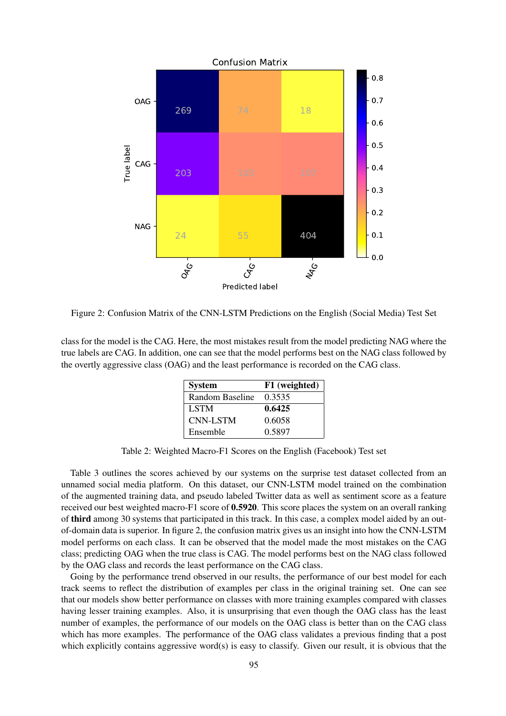

Figure 2: Confusion Matrix of the CNN-LSTM Predictions on the English (Social Media) Test Set

class for the model is the CAG. Here, the most mistakes result from the model predicting NAG where the true labels are CAG. In addition, one can see that the model performs best on the NAG class followed by the overtly aggressive class (OAG) and the least performance is recorded on the CAG class.

| <b>System</b>   | F1 (weighted) |
|-----------------|---------------|
| Random Baseline | 0.3535        |
| <b>LSTM</b>     | 0.6425        |
| <b>CNN-LSTM</b> | 0.6058        |
| Ensemble        | 0.5897        |

Table 2: Weighted Macro-F1 Scores on the English (Facebook) Test set

Table 3 outlines the scores achieved by our systems on the surprise test dataset collected from an unnamed social media platform. On this dataset, our CNN-LSTM model trained on the combination of the augmented training data, and pseudo labeled Twitter data as well as sentiment score as a feature received our best weighted macro-F1 score of 0.5920. This score places the system on an overall ranking of third among 30 systems that participated in this track. In this case, a complex model aided by an outof-domain data is superior. In figure 2, the confusion matrix gives us an insight into how the CNN-LSTM model performs on each class. It can be observed that the model made the most mistakes on the CAG class; predicting OAG when the true class is CAG. The model performs best on the NAG class followed by the OAG class and records the least performance on the CAG class.

Going by the performance trend observed in our results, the performance of our best model for each track seems to reflect the distribution of examples per class in the original training set. One can see that our models show better performance on classes with more training examples compared with classes having lesser training examples. Also, it is unsurprising that even though the OAG class has the least number of examples, the performance of our models on the OAG class is better than on the CAG class which has more examples. The performance of the OAG class validates a previous finding that a post which explicitly contains aggressive word(s) is easy to classify. Given our result, it is obvious that the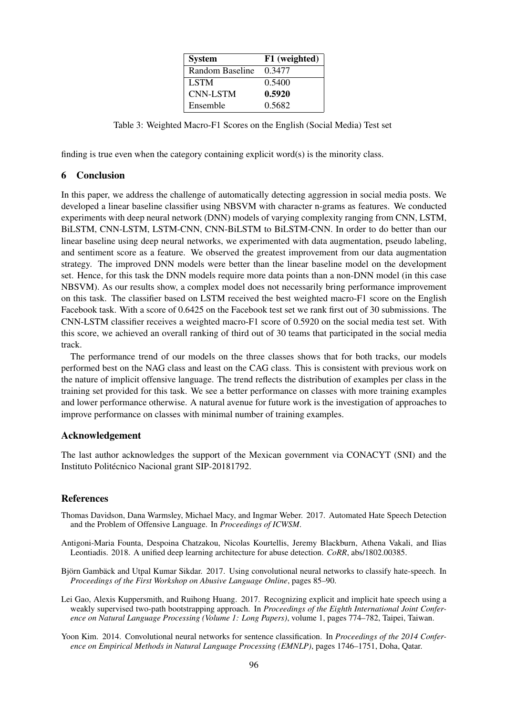| <b>System</b>   | F1 (weighted) |
|-----------------|---------------|
| Random Baseline | 0.3477        |
| <b>LSTM</b>     | 0.5400        |
| <b>CNN-LSTM</b> | 0.5920        |
| Ensemble        | 0.5682        |

Table 3: Weighted Macro-F1 Scores on the English (Social Media) Test set

finding is true even when the category containing explicit word(s) is the minority class.

### 6 Conclusion

In this paper, we address the challenge of automatically detecting aggression in social media posts. We developed a linear baseline classifier using NBSVM with character n-grams as features. We conducted experiments with deep neural network (DNN) models of varying complexity ranging from CNN, LSTM, BiLSTM, CNN-LSTM, LSTM-CNN, CNN-BiLSTM to BiLSTM-CNN. In order to do better than our linear baseline using deep neural networks, we experimented with data augmentation, pseudo labeling, and sentiment score as a feature. We observed the greatest improvement from our data augmentation strategy. The improved DNN models were better than the linear baseline model on the development set. Hence, for this task the DNN models require more data points than a non-DNN model (in this case NBSVM). As our results show, a complex model does not necessarily bring performance improvement on this task. The classifier based on LSTM received the best weighted macro-F1 score on the English Facebook task. With a score of 0.6425 on the Facebook test set we rank first out of 30 submissions. The CNN-LSTM classifier receives a weighted macro-F1 score of 0.5920 on the social media test set. With this score, we achieved an overall ranking of third out of 30 teams that participated in the social media track.

The performance trend of our models on the three classes shows that for both tracks, our models performed best on the NAG class and least on the CAG class. This is consistent with previous work on the nature of implicit offensive language. The trend reflects the distribution of examples per class in the training set provided for this task. We see a better performance on classes with more training examples and lower performance otherwise. A natural avenue for future work is the investigation of approaches to improve performance on classes with minimal number of training examples.

#### Acknowledgement

The last author acknowledges the support of the Mexican government via CONACYT (SNI) and the Instituto Politécnico Nacional grant SIP-20181792.

#### References

- Thomas Davidson, Dana Warmsley, Michael Macy, and Ingmar Weber. 2017. Automated Hate Speech Detection and the Problem of Offensive Language. In *Proceedings of ICWSM*.
- Antigoni-Maria Founta, Despoina Chatzakou, Nicolas Kourtellis, Jeremy Blackburn, Athena Vakali, and Ilias Leontiadis. 2018. A unified deep learning architecture for abuse detection. *CoRR*, abs/1802.00385.
- Björn Gambäck and Utpal Kumar Sikdar. 2017. Using convolutional neural networks to classify hate-speech. In *Proceedings of the First Workshop on Abusive Language Online*, pages 85–90.
- Lei Gao, Alexis Kuppersmith, and Ruihong Huang. 2017. Recognizing explicit and implicit hate speech using a weakly supervised two-path bootstrapping approach. In *Proceedings of the Eighth International Joint Conference on Natural Language Processing (Volume 1: Long Papers)*, volume 1, pages 774–782, Taipei, Taiwan.
- Yoon Kim. 2014. Convolutional neural networks for sentence classification. In *Proceedings of the 2014 Conference on Empirical Methods in Natural Language Processing (EMNLP)*, pages 1746–1751, Doha, Qatar.